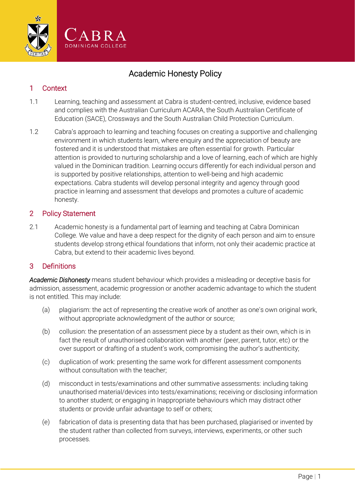

# Academic Honesty Policy

# 1 Context

- 1.1 Learning, teaching and assessment at Cabra is student-centred, inclusive, evidence based and complies with the Australian Curriculum ACARA, the South Australian Certificate of Education (SACE), Crossways and the South Australian Child Protection Curriculum.
- 1.2 Cabra's approach to learning and teaching focuses on creating a supportive and challenging environment in which students learn, where enquiry and the appreciation of beauty are fostered and it is understood that mistakes are often essential for growth. Particular attention is provided to nurturing scholarship and a love of learning, each of which are highly valued in the Dominican tradition. Learning occurs differently for each individual person and is supported by positive relationships, attention to well-being and high academic expectations. Cabra students will develop personal integrity and agency through good practice in learning and assessment that develops and promotes a culture of academic honesty.

### 2 Policy Statement

2.1 Academic honesty is a fundamental part of learning and teaching at Cabra Dominican College. We value and have a deep respect for the dignity of each person and aim to ensure students develop strong ethical foundations that inform, not only their academic practice at Cabra, but extend to their academic lives beyond.

### 3 Definitions

*Academic Dishonesty* means student behaviour which provides a misleading or deceptive basis for admission, assessment, academic progression or another academic advantage to which the student is not entitled. This may include:

- (a) plagiarism: the act of representing the creative work of another as one's own original work, without appropriate acknowledgment of the author or source;
- (b) collusion: the presentation of an assessment piece by a student as their own, which is in fact the result of unauthorised collaboration with another (peer, parent, tutor, etc) or the over support or drafting of a student's work, compromising the author's authenticity;
- (c) duplication of work: presenting the same work for different assessment components without consultation with the teacher;
- (d) misconduct in tests/examinations and other summative assessments: including taking unauthorised material/devices into tests/examinations; receiving or disclosing information to another student; or engaging in Inappropriate behaviours which may distract other students or provide unfair advantage to self or others;
- (e) fabrication of data is presenting data that has been purchased, plagiarised or invented by the student rather than collected from surveys, interviews, experiments, or other such processes.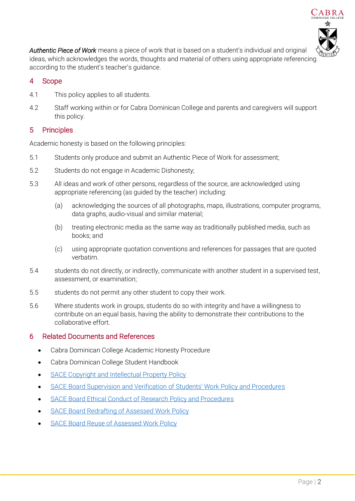

*Authentic Piece of Work* means a piece of work that is based on a student's individual and original ideas, which acknowledges the words, thoughts and material of others using appropriate referencing according to the student's teacher's guidance.

# 4 Scope

- 4.1 This policy applies to all students.
- 4.2 Staff working within or for Cabra Dominican College and parents and caregivers will support this policy.

## 5 Principles

Academic honesty is based on the following principles:

- 5.1 Students only produce and submit an Authentic Piece of Work for assessment;
- 5.2 Students do not engage in Academic Dishonesty;
- 5.3 All ideas and work of other persons, regardless of the source, are acknowledged using appropriate referencing (as guided by the teacher) including:
	- (a) acknowledging the sources of all photographs, maps, illustrations, computer programs, data graphs, audio-visual and similar material;
	- (b) treating electronic media as the same way as traditionally published media, such as books; and
	- (c) using appropriate quotation conventions and references for passages that are quoted verbatim.
- 5.4 students do not directly, or indirectly, communicate with another student in a supervised test, assessment, or examination;
- 5.5 students do not permit any other student to copy their work.
- 5.6 Where students work in groups, students do so with integrity and have a willingness to contribute on an equal basis, having the ability to demonstrate their contributions to the collaborative effort.

### 6 Related Documents and References

- Cabra Dominican College Academic Honesty Procedure
- Cabra Dominican College Student Handbook
- [SACE Copyright and Intellectual Property Policy](https://www.sace.sa.edu.au/about/policies)
- [SACE Board Supervision and Verification of Students' Work Policy and Procedure](https://www.sace.sa.edu.au/about/policies)s
- [SACE Board Ethical Conduct of Research Policy and Procedures](https://www.sace.sa.edu.au/about/policies)
- [SACE Board Redrafting of Assessed Work Policy](https://www.sace.sa.edu.au/about/policies)
- [SACE Board Reuse of Assessed Work Policy](https://www.sace.sa.edu.au/about/policies)